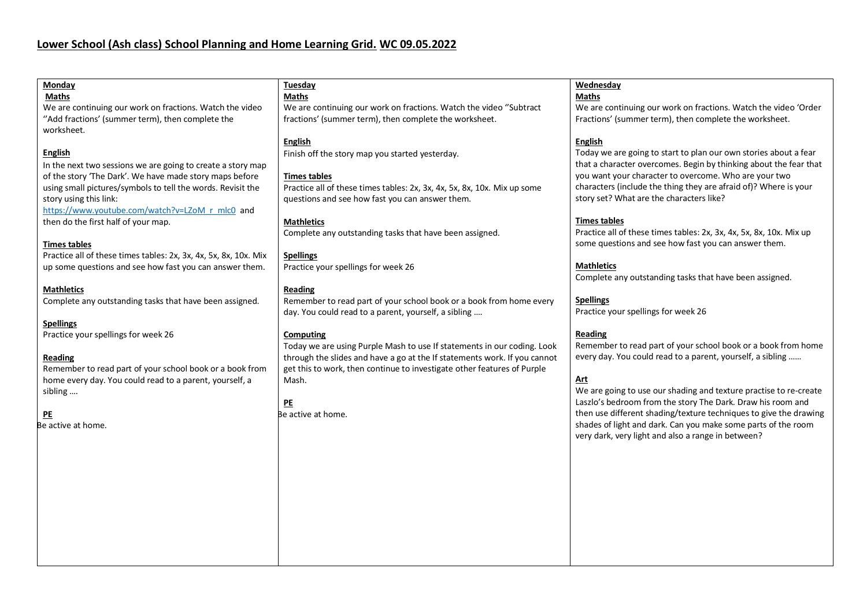| Monday                                                           | Tuesday                                                                   | Wednesday                                                           |
|------------------------------------------------------------------|---------------------------------------------------------------------------|---------------------------------------------------------------------|
| <b>Maths</b>                                                     | <b>Maths</b>                                                              | <b>Maths</b>                                                        |
| We are continuing our work on fractions. Watch the video         | We are continuing our work on fractions. Watch the video "Subtract        | We are continuing our work on fractions. Watch the video 'Order     |
| "Add fractions' (summer term), then complete the                 | fractions' (summer term), then complete the worksheet.                    | Fractions' (summer term), then complete the worksheet.              |
| worksheet.                                                       |                                                                           |                                                                     |
|                                                                  |                                                                           |                                                                     |
|                                                                  | <b>English</b>                                                            | <b>English</b>                                                      |
| <b>English</b>                                                   | Finish off the story map you started yesterday.                           | Today we are going to start to plan our own stories about a fear    |
| In the next two sessions we are going to create a story map      |                                                                           | that a character overcomes. Begin by thinking about the fear that   |
| of the story 'The Dark'. We have made story maps before          | <b>Times tables</b>                                                       | you want your character to overcome. Who are your two               |
| using small pictures/symbols to tell the words. Revisit the      | Practice all of these times tables: 2x, 3x, 4x, 5x, 8x, 10x. Mix up some  | characters (include the thing they are afraid of)? Where is your    |
| story using this link:                                           | questions and see how fast you can answer them.                           | story set? What are the characters like?                            |
| https://www.youtube.com/watch?v=LZoM r mlc0 and                  |                                                                           |                                                                     |
| then do the first half of your map.                              | <b>Mathletics</b>                                                         | <b>Times tables</b>                                                 |
|                                                                  | Complete any outstanding tasks that have been assigned.                   | Practice all of these times tables: 2x, 3x, 4x, 5x, 8x, 10x. Mix up |
|                                                                  |                                                                           | some questions and see how fast you can answer them.                |
| <b>Times tables</b>                                              |                                                                           |                                                                     |
| Practice all of these times tables: 2x, 3x, 4x, 5x, 8x, 10x. Mix | <b>Spellings</b>                                                          |                                                                     |
| up some questions and see how fast you can answer them.          | Practice your spellings for week 26                                       | <b>Mathletics</b>                                                   |
|                                                                  |                                                                           | Complete any outstanding tasks that have been assigned.             |
| <b>Mathletics</b>                                                | <b>Reading</b>                                                            |                                                                     |
| Complete any outstanding tasks that have been assigned.          | Remember to read part of your school book or a book from home every       | <b>Spellings</b>                                                    |
|                                                                  | day. You could read to a parent, yourself, a sibling                      | Practice your spellings for week 26                                 |
| <b>Spellings</b>                                                 |                                                                           |                                                                     |
| Practice your spellings for week 26                              | Computing                                                                 | Reading                                                             |
|                                                                  | Today we are using Purple Mash to use If statements in our coding. Look   | Remember to read part of your school book or a book from home       |
| Reading                                                          | through the slides and have a go at the If statements work. If you cannot | every day. You could read to a parent, yourself, a sibling          |
| Remember to read part of your school book or a book from         | get this to work, then continue to investigate other features of Purple   |                                                                     |
|                                                                  |                                                                           | Art                                                                 |
| home every day. You could read to a parent, yourself, a          | Mash.                                                                     | We are going to use our shading and texture practise to re-create   |
| sibling                                                          |                                                                           |                                                                     |
|                                                                  | PE                                                                        | Laszlo's bedroom from the story The Dark. Draw his room and         |
| PE                                                               | Be active at home.                                                        | then use different shading/texture techniques to give the drawing   |
| Be active at home.                                               |                                                                           | shades of light and dark. Can you make some parts of the room       |
|                                                                  |                                                                           | very dark, very light and also a range in between?                  |
|                                                                  |                                                                           |                                                                     |
|                                                                  |                                                                           |                                                                     |
|                                                                  |                                                                           |                                                                     |
|                                                                  |                                                                           |                                                                     |
|                                                                  |                                                                           |                                                                     |
|                                                                  |                                                                           |                                                                     |
|                                                                  |                                                                           |                                                                     |
|                                                                  |                                                                           |                                                                     |
|                                                                  |                                                                           |                                                                     |
|                                                                  |                                                                           |                                                                     |
|                                                                  |                                                                           |                                                                     |